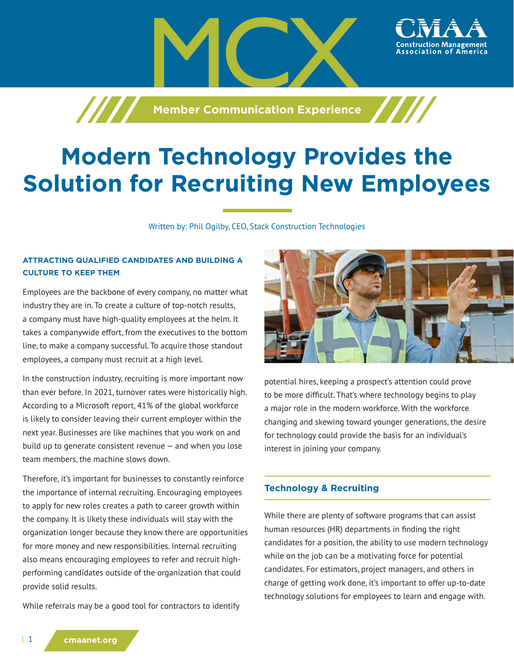

# **Modern Technology Provides the Solution for Recruiting New Employees**

Written by: Phil Ogilby, CEO, Stack Construction Technologies

## **ATTRACTING QUALIFIED CANDIDATES AND BUILDING A CULTURE TO KEEP THEM**

Employees are the backbone of every company, no matter what industry they are in. To create a culture of top-notch results, a company must have high-quality employees at the helm. It takes a companywide effort, from the executives to the bottom line, to make a company successful. To acquire those standout employees, a company must recruit at a high level.

In the construction industry, recruiting is more important now than ever before. In 2021, turnover rates were historically high. According to a Microsoft report, 41% of the global workforce is likely to consider leaving their current employer within the next year. Businesses are like machines that you work on and build up to generate consistent revenue — and when you lose team members, the machine slows down.

Therefore, it's important for businesses to constantly reinforce the importance of internal recruiting. Encouraging employees to apply for new roles creates a path to career growth within the company. It is likely these individuals will stay with the organization longer because they know there are opportunities for more money and new responsibilities. Internal recruiting also means encouraging employees to refer and recruit highperforming candidates outside of the organization that could provide solid results.

While referrals may be a good tool for contractors to identify



ssociation of

potential hires, keeping a prospect's attention could prove to be more difficult. That's where technology begins to play a major role in the modern workforce. With the workforce changing and skewing toward younger generations, the desire for technology could provide the basis for an individual's interest in joining your company.

# **Technology & Recruiting**

While there are plenty of software programs that can assist human resources (HR) departments in finding the right candidates for a position, the ability to use modern technology while on the job can be a motivating force for potential candidates. For estimators, project managers, and others in charge of getting work done, it's important to offer up-to-date technology solutions for employees to learn and engage with.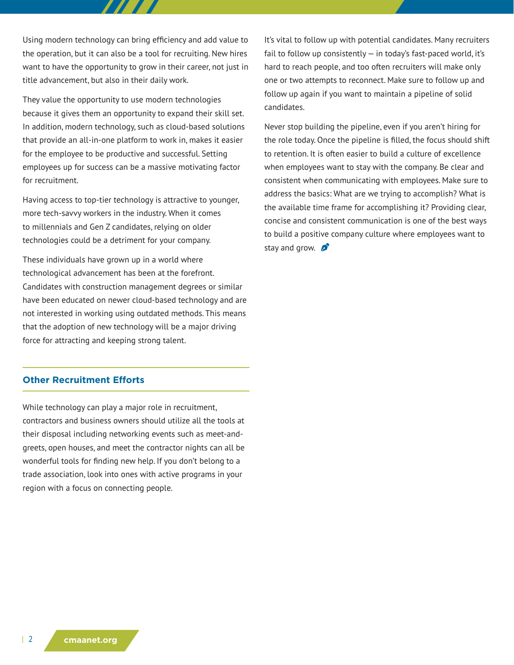Using modern technology can bring efficiency and add value to the operation, but it can also be a tool for recruiting. New hires want to have the opportunity to grow in their career, not just in title advancement, but also in their daily work.

They value the opportunity to use modern technologies because it gives them an opportunity to expand their skill set. In addition, modern technology, such as cloud-based solutions that provide an all-in-one platform to work in, makes it easier for the employee to be productive and successful. Setting employees up for success can be a massive motivating factor for recruitment.

Having access to top-tier technology is attractive to younger, more tech-savvy workers in the industry. When it comes to millennials and Gen Z candidates, relying on older technologies could be a detriment for your company.

These individuals have grown up in a world where technological advancement has been at the forefront. Candidates with construction management degrees or similar have been educated on newer cloud-based technology and are not interested in working using outdated methods. This means that the adoption of new technology will be a major driving force for attracting and keeping strong talent.

### **Other Recruitment Efforts**

While technology can play a major role in recruitment, contractors and business owners should utilize all the tools at their disposal including networking events such as meet-andgreets, open houses, and meet the contractor nights can all be wonderful tools for finding new help. If you don't belong to a trade association, look into ones with active programs in your region with a focus on connecting people.

It's vital to follow up with potential candidates. Many recruiters fail to follow up consistently  $-$  in today's fast-paced world, it's hard to reach people, and too often recruiters will make only one or two attempts to reconnect. Make sure to follow up and follow up again if you want to maintain a pipeline of solid candidates.

Never stop building the pipeline, even if you aren't hiring for the role today. Once the pipeline is filled, the focus should shift to retention. It is often easier to build a culture of excellence when employees want to stay with the company. Be clear and consistent when communicating with employees. Make sure to address the basics: What are we trying to accomplish? What is the available time frame for accomplishing it? Providing clear, concise and consistent communication is one of the best ways to build a positive company culture where employees want to stay and grow.  $\beta$